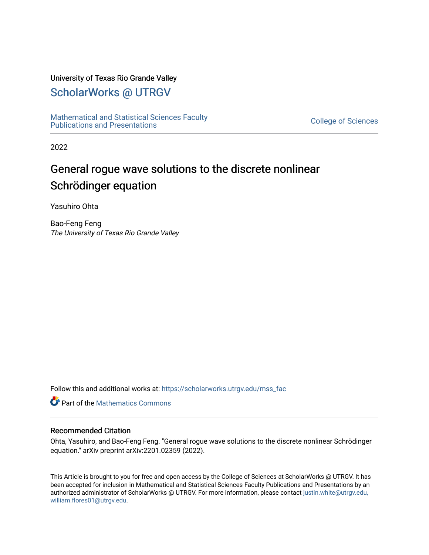#### University of Texas Rio Grande Valley

## [ScholarWorks @ UTRGV](https://scholarworks.utrgv.edu/)

[Mathematical and Statistical Sciences Faculty](https://scholarworks.utrgv.edu/mss_fac)  mathematical and Statistical Sciences Faculty<br>Publications and Presentations

2022

# General rogue wave solutions to the discrete nonlinear Schrödinger equation

Yasuhiro Ohta

Bao-Feng Feng The University of Texas Rio Grande Valley

Follow this and additional works at: [https://scholarworks.utrgv.edu/mss\\_fac](https://scholarworks.utrgv.edu/mss_fac?utm_source=scholarworks.utrgv.edu%2Fmss_fac%2F237&utm_medium=PDF&utm_campaign=PDFCoverPages) 

**C** Part of the [Mathematics Commons](http://network.bepress.com/hgg/discipline/174?utm_source=scholarworks.utrgv.edu%2Fmss_fac%2F237&utm_medium=PDF&utm_campaign=PDFCoverPages)

#### Recommended Citation

Ohta, Yasuhiro, and Bao-Feng Feng. "General rogue wave solutions to the discrete nonlinear Schrödinger equation." arXiv preprint arXiv:2201.02359 (2022).

This Article is brought to you for free and open access by the College of Sciences at ScholarWorks @ UTRGV. It has been accepted for inclusion in Mathematical and Statistical Sciences Faculty Publications and Presentations by an authorized administrator of ScholarWorks @ UTRGV. For more information, please contact [justin.white@utrgv.edu,](mailto:justin.white@utrgv.edu,%20william.flores01@utrgv.edu)  [william.flores01@utrgv.edu](mailto:justin.white@utrgv.edu,%20william.flores01@utrgv.edu).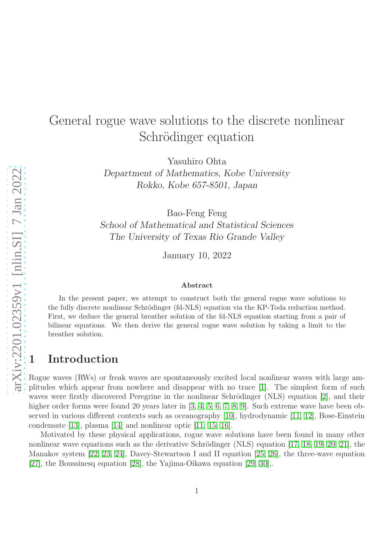# General rogue wave solutions to the discrete nonlinear Schrödinger equation

Yasuhiro Ohta

Department of Mathematics, Kobe University Rokko, Kobe 657-8501, Japan

Bao-Feng Feng School of Mathematical and Statistical Sciences The University of Texas Rio Grande Valley

January 10, 2022

#### Abstract

In the present paper, we attempt to construct both the general rogue wave solutions to the fully discrete nonlinear Schrödinger (fd-NLS) equation via the KP-Toda reduction method. First, we deduce the general breather solution of the fd-NLS equation starting from a pair of bilinear equations. We then derive the general rogue wave solution by taking a limit to the breather solution.

## 1 Introduction

Rogue waves (RWs) or freak waves are spontaneously excited local nonlinear waves with large amplitudes which appear from nowhere and disappear with no trace [\[1\]](#page-13-0). The simplest form of such waves were firstly discovered Peregrine in the nonlinear Schrödinger (NLS) equation  $[2]$ , and their higher order forms were found 20 years later in [\[3,](#page-14-0) [4,](#page-14-1) [5,](#page-14-2) [6,](#page-14-3) [7,](#page-14-4) [8,](#page-14-5) [9\]](#page-14-6). Such extreme wave have been observed in various different contexts such as oceanography [\[10\]](#page-14-7), hydrodynamic [\[11,](#page-14-8) [12\]](#page-14-9), Bose-Einstein condensate [\[13\]](#page-14-10), plasma [\[14\]](#page-14-11) and nonlinear optic [\[11,](#page-14-8) [15,](#page-14-12) [16\]](#page-14-13).

Motivated by these physical applications, rogue wave solutions have been found in many other nonlinear wave equations such as the derivative Schrödinger (NLS) equation  $[17, 18, 19, 20, 21]$  $[17, 18, 19, 20, 21]$  $[17, 18, 19, 20, 21]$  $[17, 18, 19, 20, 21]$  $[17, 18, 19, 20, 21]$ , the Manakov system [\[22,](#page-15-3) [23,](#page-15-4) [24\]](#page-15-5), Davey-Stewartson I and II equation [\[25,](#page-15-6) [26\]](#page-15-7), the three-wave equation [\[27\]](#page-15-8), the Boussinesq equation [\[28\]](#page-15-9), the Yajima-Oikawa equation [\[29,](#page-15-10) [30\]](#page-15-11),.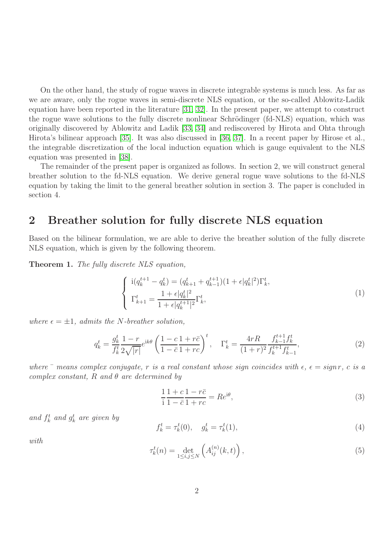On the other hand, the study of rogue waves in discrete integrable systems is much less. As far as we are aware, only the rogue waves in semi-discrete NLS equation, or the so-called Ablowitz-Ladik equation have been reported in the literature [\[31,](#page-15-12) [32\]](#page-15-13). In the present paper, we attempt to construct the rogue wave solutions to the fully discrete nonlinear Schrödinger (fd-NLS) equation, which was originally discovered by Ablowitz and Ladik [\[33,](#page-16-0) [34\]](#page-16-1) and rediscovered by Hirota and Ohta through Hirota's bilinear approach [\[35\]](#page-16-2). It was also discussed in [\[36,](#page-16-3) [37\]](#page-16-4). In a recent paper by Hirose et al., the integrable discretization of the local induction equation which is gauge equivalent to the NLS equation was presented in [\[38\]](#page-16-5).

The remainder of the present paper is organized as follows. In section 2, we will construct general breather solution to the fd-NLS equation. We derive general rogue wave solutions to the fd-NLS equation by taking the limit to the general breather solution in section 3. The paper is concluded in section 4.

# 2 Breather solution for fully discrete NLS equation

Based on the bilinear formulation, we are able to derive the breather solution of the fully discrete NLS equation, which is given by the following theorem.

Theorem 1. The fully discrete NLS equation,

<span id="page-2-0"></span>
$$
\begin{cases}\n\mathbf{i}(q_k^{t+1} - q_k^t) = (q_{k+1}^t + q_{k-1}^{t+1})(1 + \epsilon | q_k^t|^2) \Gamma_k^t, \\
\Gamma_{k+1}^t = \frac{1 + \epsilon | q_k^t|^2}{1 + \epsilon | q_k^{t+1} |^2} \Gamma_k^t,\n\end{cases} (1)
$$

where  $\epsilon = \pm 1$ , admits the N-breather solution,

<span id="page-2-1"></span>
$$
q_k^t = \frac{g_k^t}{f_k^t} \frac{1-r}{2\sqrt{|r|}} e^{ik\theta} \left(\frac{1-c}{1-\bar{c}} \frac{1+r\bar{c}}{1+r c}\right)^t, \quad \Gamma_k^t = \frac{4rR}{(1+r)^2} \frac{f_{k-1}^{t+1} f_k^t}{f_k^{t+1} f_{k-1}^t},\tag{2}
$$

where  $\bar{\ }$  means complex conjugate, r is a real constant whose sign coincides with  $\epsilon$ ,  $\epsilon = \text{sign } r$ , c is a complex constant, R and  $\theta$  are determined by

$$
\frac{1}{i}\frac{1+c}{1-\bar{c}}\frac{1-r\bar{c}}{1+rc} = Re^{i\theta},\tag{3}
$$

and  $f_k^t$  and  $g_k^t$  are given by

<span id="page-2-2"></span>
$$
f_k^t = \tau_k^t(0), \quad g_k^t = \tau_k^t(1), \tag{4}
$$

with

$$
\tau_k^t(n) = \det_{1 \le i, j \le N} \left( A_{ij}^{(n)}(k, t) \right), \tag{5}
$$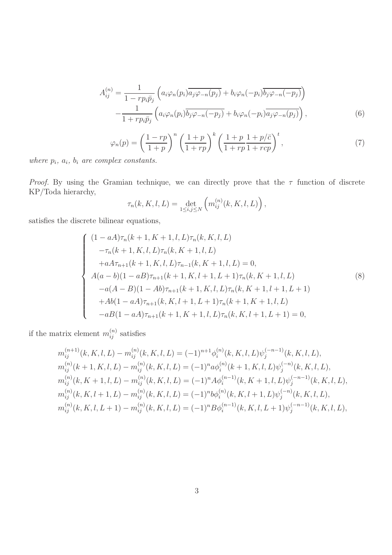$$
A_{ij}^{(n)} = \frac{1}{1 - r p_i \bar{p}_j} \left( a_i \varphi_n(p_i) \overline{a_j \varphi_{-n}(p_j)} + b_i \varphi_n(-p_i) \overline{b_j \varphi_{-n}(-p_j)} \right)
$$

$$
- \frac{1}{1 + r p_i \bar{p}_j} \left( a_i \varphi_n(p_i) \overline{b_j \varphi_{-n}(-p_j)} + b_i \varphi_n(-p_i) \overline{a_j \varphi_{-n}(p_j)} \right), \tag{6}
$$

<span id="page-3-1"></span>
$$
\varphi_n(p) = \left(\frac{1-rp}{1+p}\right)^n \left(\frac{1+p}{1+rp}\right)^k \left(\frac{1+p}{1+rp}\frac{1+p/\bar{c}}{1+rp}\right)^t,\tag{7}
$$

where  $p_i$ ,  $a_i$ ,  $b_i$  are complex constants.

*Proof.* By using the Gramian technique, we can directly prove that the  $\tau$  function of discrete KP/Toda hierarchy,

$$
\tau_n(k, K, l, L) = \det_{1 \le i, j \le N} \left( m_{ij}^{(n)}(k, K, l, L) \right),
$$

satisfies the discrete bilinear equations,

<span id="page-3-0"></span>
$$
\begin{cases}\n(1 - aA)\tau_n(k+1, K+1, l, L)\tau_n(k, K, l, L) \\
-\tau_n(k+1, K, l, L)\tau_n(k, K+1, l, L) \\
+aA\tau_{n+1}(k+1, K, l, L)\tau_{n-1}(k, K+1, l, L) = 0, \\
A(a - b)(1 - aB)\tau_{n+1}(k+1, K, l+1, L+1)\tau_n(k, K+1, l, L) \\
-a(A - B)(1 - Ab)\tau_{n+1}(k+1, K, l, L)\tau_n(k, K+1, l+1, L+1) \\
+A b(1 - aA)\tau_{n+1}(k, K, l+1, L+1)\tau_n(k+1, K+1, l, L) \\
-aB(1 - aA)\tau_{n+1}(k+1, K+1, l, L)\tau_n(k, K, l+1, L+1) = 0,\n\end{cases}
$$
\n(8)

if the matrix element  $m_{ij}^{(n)}$  satisfies

$$
m_{ij}^{(n+1)}(k, K, l, L) - m_{ij}^{(n)}(k, K, l, L) = (-1)^{n+1} \phi_i^{(n)}(k, K, l, L) \psi_j^{(-n-1)}(k, K, l, L),
$$
  
\n
$$
m_{ij}^{(n)}(k+1, K, l, L) - m_{ij}^{(n)}(k, K, l, L) = (-1)^n a \phi_i^{(n)}(k+1, K, l, L) \psi_j^{(-n)}(k, K, l, L),
$$
  
\n
$$
m_{ij}^{(n)}(k, K+1, l, L) - m_{ij}^{(n)}(k, K, l, L) = (-1)^n A \phi_i^{(n-1)}(k, K+1, l, L) \psi_j^{(-n-1)}(k, K, l, L),
$$
  
\n
$$
m_{ij}^{(n)}(k, K, l+1, L) - m_{ij}^{(n)}(k, K, l, L) = (-1)^n b \phi_i^{(n)}(k, K, l+1, L) \psi_j^{(-n)}(k, K, l, L),
$$
  
\n
$$
m_{ij}^{(n)}(k, K, l, L+1) - m_{ij}^{(n)}(k, K, l, L) = (-1)^n B \phi_i^{(n-1)}(k, K, l, L+1) \psi_j^{(-n-1)}(k, K, l, L),
$$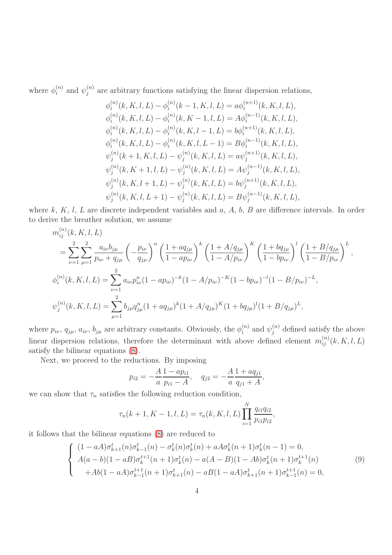where  $\phi_i^{(n)}$  $i^{(n)}$  and  $\psi_j^{(n)}$  $j^{(n)}$  are arbitrary functions satisfying the linear dispersion relations,

$$
\phi_i^{(n)}(k, K, l, L) - \phi_i^{(n)}(k - 1, K, l, L) = a\phi_i^{(n+1)}(k, K, l, L),
$$
  
\n
$$
\phi_i^{(n)}(k, K, l, L) - \phi_i^{(n)}(k, K - 1, l, L) = A\phi_i^{(n-1)}(k, K, l, L),
$$
  
\n
$$
\phi_i^{(n)}(k, K, l, L) - \phi_i^{(n)}(k, K, l - 1, L) = b\phi_i^{(n+1)}(k, K, l, L),
$$
  
\n
$$
\phi_i^{(n)}(k, K, l, L) - \phi_i^{(n)}(k, K, l, L - 1) = B\phi_i^{(n-1)}(k, K, l, L),
$$
  
\n
$$
\psi_j^{(n)}(k + 1, K, l, L) - \psi_j^{(n)}(k, K, l, L) = a\psi_j^{(n+1)}(k, K, l, L),
$$
  
\n
$$
\psi_j^{(n)}(k, K + 1, l, L) - \psi_j^{(n)}(k, K, l, L) = A\psi_j^{(n-1)}(k, K, l, L),
$$
  
\n
$$
\psi_j^{(n)}(k, K, l + 1, L) - \psi_j^{(n)}(k, K, l, L) = b\psi_j^{(n+1)}(k, K, l, L),
$$
  
\n
$$
\psi_j^{(n)}(k, K, l, L + 1) - \psi_j^{(n)}(k, K, l, L) = B\psi_j^{(n-1)}(k, K, l, L),
$$

where  $k, K, l, L$  are discrete independent variables and  $a, A, b, B$  are difference intervals. In order to derive the breather solution, we assume

$$
m_{ij}^{(n)}(k, K, l, L)
$$
  
= 
$$
\sum_{\nu=1}^{2} \sum_{\mu=1}^{2} \frac{a_{i\nu}b_{j\mu}}{p_{i\nu} + q_{j\mu}} \left( -\frac{p_{i\nu}}{q_{j\mu}} \right)^n \left( \frac{1 + aq_{j\mu}}{1 - ap_{i\nu}} \right)^k \left( \frac{1 + A/q_{j\mu}}{1 - A/p_{i\nu}} \right)^K \left( \frac{1 + bq_{j\mu}}{1 - bp_{i\nu}} \right)^l \left( \frac{1 + B/q_{j\mu}}{1 - B/p_{i\nu}} \right)^L,
$$
  

$$
\phi_i^{(n)}(k, K, l, L) = \sum_{\nu=1}^{2} a_{i\nu} p_{i\nu}^n (1 - ap_{i\nu})^{-k} (1 - A/p_{i\nu})^{-K} (1 - bp_{i\nu})^{-l} (1 - B/p_{i\nu})^{-L},
$$
  

$$
\psi_j^{(n)}(k, K, l, L) = \sum_{\mu=1}^{2} b_{j\mu} q_{j\mu}^n (1 + aq_{j\mu})^k (1 + A/q_{j\mu})^K (1 + bq_{j\mu})^l (1 + B/q_{j\mu})^L,
$$

where  $p_{i\nu}$ ,  $q_{j\mu}$ ,  $a_{i\nu}$ ,  $b_{j\mu}$  are arbitrary constants. Obviously, the  $\phi_i^{(n)}$  $i^{(n)}$  and  $\psi_j^{(n)}$  defined satisfy the above linear dispersion relations, therefore the determinant with above defined element  $m_{ij}^{(n)}(k, K, l, L)$ satisfy the bilinear equations [\(8\)](#page-3-0).

Next, we proceed to the reductions. By imposing

$$
p_{i2} = -\frac{A}{a} \frac{1 - ap_{i1}}{p_{i1} - A}, \quad q_{j2} = -\frac{A}{a} \frac{1 + aq_{j1}}{q_{j1} + A},
$$

we can show that  $\tau_n$  satisfies the following reduction condition,

$$
\tau_n(k+1, K-1, l, L) = \tau_n(k, K, l, L) \prod_{i=1}^N \frac{q_{i1}q_{i2}}{p_{i1}p_{i2}},
$$

it follows that the bilinear equations [\(8\)](#page-3-0) are reduced to

<span id="page-4-0"></span>
$$
\begin{cases}\n(1 - aA)\sigma_{k+1}^{t}(n)\sigma_{k-1}^{t}(n) - \sigma_{k}^{t}(n)\sigma_{k}^{t}(n) + aA\sigma_{k}^{t}(n+1)\sigma_{k}^{t}(n-1) = 0, \\
A(a - b)(1 - aB)\sigma_{k}^{t+1}(n+1)\sigma_{k}^{t}(n) - a(A - B)(1 - Ab)\sigma_{k}^{t}(n+1)\sigma_{k}^{t+1}(n) \\
+ Ab(1 - aA)\sigma_{k-1}^{t+1}(n+1)\sigma_{k+1}^{t}(n) - aB(1 - aA)\sigma_{k+1}^{t}(n+1)\sigma_{k-1}^{t+1}(n) = 0,\n\end{cases}
$$
\n(9)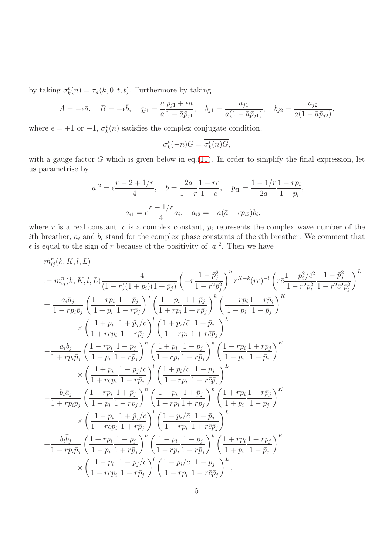by taking  $\sigma_k^t(n) = \tau_n(k, 0, t, t)$ . Furthermore by taking

$$
A = -\epsilon \bar{a}, \quad B = -\epsilon \bar{b}, \quad q_{j1} = \frac{\bar{a}}{a} \frac{\bar{p}_{j1} + \epsilon a}{1 - \bar{a}\bar{p}_{j1}}, \quad b_{j1} = \frac{\bar{a}_{j1}}{a(1 - \bar{a}\bar{p}_{j1})}, \quad b_{j2} = \frac{\bar{a}_{j2}}{a(1 - \bar{a}\bar{p}_{j2})},
$$

where  $\epsilon = +1$  or  $-1$ ,  $\sigma_k^t(n)$  satisfies the complex conjugate condition,

$$
\sigma_k^t(-n)G = \overline{\sigma_k^t(n)G},
$$

with a gauge factor  $G$  which is given below in eq.[\(11\)](#page-6-0). In order to simplify the final expression, let us parametrise by

$$
|a|^2 = \epsilon \frac{r - 2 + 1/r}{4}, \quad b = \frac{2a}{1 - r} \frac{1 - rc}{1 + c}, \quad p_{i1} = \frac{1 - 1/r}{2a} \frac{1 - rp_i}{1 + p_i},
$$

$$
a_{i1} = \epsilon \frac{r - 1/r}{4} a_i, \quad a_{i2} = -a(\bar{a} + \epsilon p_{i2}) b_i,
$$

where r is a real constant, c is a complex constant,  $p_i$  represents the complex wave number of the ith breather,  $a_i$  and  $b_i$  stand for the complex phase constants of the *i*th breather. We comment that  $\epsilon$  is equal to the sign of r because of the positivity of  $|a|^2$ . Then we have

$$
\begin{split} &\tilde{m}_{ij}^{n}(k,K,l,L) \\ &:= m_{ij}^{n}(k,K,l,L) \frac{-4}{(1-r)(1+p_i)(1+\bar{p}_j)} \left( -r \frac{1-\bar{p}_j^2}{1-r^2\bar{p}_j^2} \right)^n r^{K-k}(rc)^{-l} \left( r \bar{c} \frac{1-p_i^2/\bar{c}^2}{1-r^2\bar{p}_j^2} \frac{1-\bar{p}_j^2}{1-r^2\bar{c}^2\bar{p}_j^2} \right)^L \\ &= \frac{a_i\bar{a}_j}{1-rp_i\bar{p}_j} \left( \frac{1-rp_i}{1+p_i} \frac{1+\bar{p}_j}{1-r\bar{p}_j} \right)^n \left( \frac{1+p_i}{1+p_i} \frac{1+\bar{p}_j}{1+r\bar{p}_j} \right)^k \left( \frac{1-rp_i}{1-p_i} \frac{1-r\bar{p}_j}{1-\bar{p}_j} \right)^K \\ &\quad \times \left( \frac{1+p_i}{1+rcp_i} \frac{1+\bar{p}_j/c}{1+r\bar{p}_i} \right)^l \left( \frac{1+p_i(\bar{c}}{1+p_i} \frac{1+\bar{p}_j}{1+r\bar{c}\bar{p}_j} \right)^L \\ &\quad - \frac{a_i\bar{b}_j}{1+rp_i\bar{p}_j} \left( \frac{1-rp_i}{1+p_i} \frac{1-\bar{p}_j}{1-r\bar{p}_j} \right)^k \left( \frac{1-rp_i}{1-p_i} \frac{1+r\bar{p}_j}{1+\bar{p}_j} \right)^K \\ &\quad \times \left( \frac{1+p_i}{1+rcp_i} \frac{1-\bar{p}_j/c}{1-r\bar{p}_j} \right)^l \left( \frac{1+p_i(\bar{c}}{1+p_i} \frac{1-\bar{p}_j}{1-r\bar{c}\bar{p}_j} \right)^L \\ &\quad - \frac{b_i\bar{a}_j}{1+rp_i\bar{p}_j} \left( \frac{1+p_i}{1-p_i} \frac{1+\bar{p}_j}{1-r\bar{p}_j} \right)^k \left( \frac{1-rp_i}{1+p_i} \frac{1+r\bar{p}_j}{1-\bar{p}_j} \right)^K \\ &\quad \times \left( \frac{1+p_i}{1-rp_i} \frac{1+\bar{p}_j}{1-r\bar{p}_j} \
$$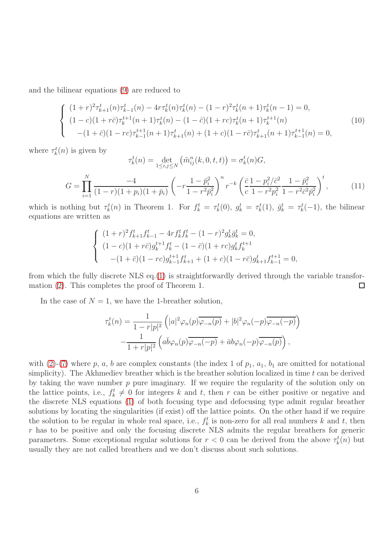and the bilinear equations [\(9\)](#page-4-0) are reduced to

$$
\begin{cases}\n(1+r)^2 \tau_{k+1}^t(n) \tau_{k-1}^t(n) - 4r \tau_k^t(n) \tau_k^t(n) - (1-r)^2 \tau_k^t(n+1) \tau_k^t(n-1) = 0, \\
(1-c)(1+r\bar{c}) \tau_k^{t+1}(n+1) \tau_k^t(n) - (1-\bar{c})(1+r\bar{c}) \tau_k^t(n+1) \tau_k^{t+1}(n) \\
-(1+\bar{c})(1-r\bar{c}) \tau_{k-1}^{t+1}(n+1) \tau_{k+1}^t(n) + (1+c)(1-r\bar{c}) \tau_{k+1}^t(n+1) \tau_{k-1}^{t+1}(n) = 0,\n\end{cases}
$$
\n(10)

where  $\tau_k^t(n)$  is given by

<span id="page-6-0"></span>
$$
\tau_k^t(n) = \det_{1 \le i,j \le N} \left( \tilde{m}_{ij}^n(k, 0, t, t) \right) = \sigma_k^t(n) G,
$$
\n
$$
G = \prod_{i=1}^N \frac{-4}{(1 - r)(1 + p_i)(1 + \bar{p}_i)} \left( -r \frac{1 - \bar{p}_i^2}{1 - r^2 \bar{p}_i^2} \right)^n r^{-k} \left( \frac{\bar{c}}{c} \frac{1 - p_i^2 / \bar{c}^2}{1 - r^2 p_i^2} \frac{1 - \bar{p}_i^2}{1 - r^2 \bar{c}^2 \bar{p}_i^2} \right)^t, \tag{11}
$$

which is nothing but  $\tau_k^t(n)$  in Theorem 1. For  $f_k^t = \tau_k^t(0)$ ,  $g_k^t = \tau_k^t(1)$ ,  $\bar{g}_k^t = \tau_k^t(-1)$ , the bilinear equations are written as

$$
\begin{cases}\n(1+r)^2 f_{k+1}^t f_{k-1}^t - 4r f_k^t f_k^t - (1-r)^2 g_k^t \bar{g}_k^t = 0, \\
(1-c)(1+r\bar{c}) g_k^{t+1} f_k^t - (1-\bar{c})(1+r\bar{c}) g_k^t f_k^{t+1} \\
-(1+\bar{c})(1-r\bar{c}) g_{k-1}^{t+1} f_{k+1}^t + (1+c)(1-r\bar{c}) g_{k+1}^t f_{k-1}^{t+1} = 0,\n\end{cases}
$$

from which the fully discrete NLS eq.[\(1\)](#page-2-0) is straightforwardly derived through the variable transformation [\(2\)](#page-2-1). This completes the proof of Theorem 1.  $\Box$ 

In the case of  $N = 1$ , we have the 1-breather solution,

$$
\tau_k^t(n) = \frac{1}{1 - r|p|^2} \left( |a|^2 \varphi_n(p) \overline{\varphi_{-n}(p)} + |b|^2 \varphi_n(-p) \overline{\varphi_{-n}(-p)} \right)
$$

$$
- \frac{1}{1 + r|p|^2} \left( a \overline{b} \varphi_n(p) \overline{\varphi_{-n}(-p)} + \overline{a} b \varphi_n(-p) \overline{\varphi_{-n}(p)} \right),
$$

with [\(2\)](#page-2-1)-[\(7\)](#page-3-1) where p, a, b are complex constants (the index 1 of  $p_1$ ,  $a_1$ ,  $b_1$  are omitted for notational simplicity). The Akhmediev breather which is the breather solution localized in time  $t$  can be derived by taking the wave number  $p$  pure imaginary. If we require the regularity of the solution only on the lattice points, i.e.,  $f_k^t \neq 0$  for integers k and t, then r can be either positive or negative and the discrete NLS equations [\(1\)](#page-2-0) of both focusing type and defocusing type admit regular breather solutions by locating the singularities (if exist) off the lattice points. On the other hand if we require the solution to be regular in whole real space, i.e.,  $f_k^t$  is non-zero for all real numbers k and t, then  $r$  has to be positive and only the focusing discrete NLS admits the regular breathers for generic parameters. Some exceptional regular solutions for  $r < 0$  can be derived from the above  $\tau_k^t(n)$  but usually they are not called breathers and we don't discuss about such solutions.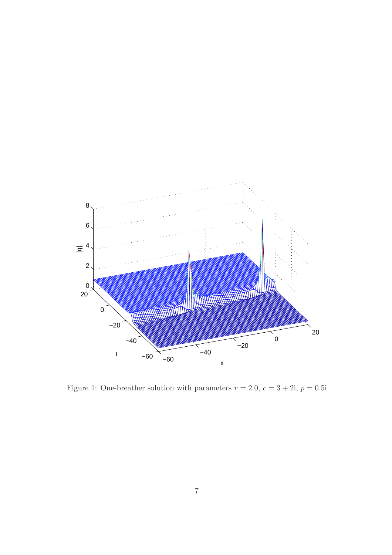

Figure 1: One-breather solution with parameters  $r = 2.0, c = 3 + 2i, p = 0.5i$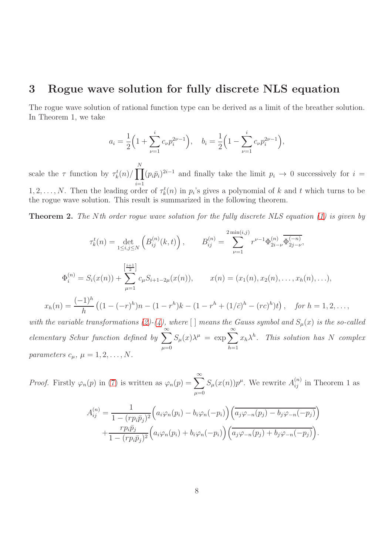### 3 Rogue wave solution for fully discrete NLS equation

The rogue wave solution of rational function type can be derived as a limit of the breather solution. In Theorem 1, we take

$$
a_i = \frac{1}{2} \left( 1 + \sum_{\nu=1}^i c_\nu p_i^{2\nu - 1} \right), \quad b_i = \frac{1}{2} \left( 1 - \sum_{\nu=1}^i c_\nu p_i^{2\nu - 1} \right),
$$

scale the  $\tau$  function by  $\tau_k^t(n)/\prod$ N  $i=1$  $(p_i \bar{p}_i)^{2i-1}$  and finally take the limit  $p_i \to 0$  successively for  $i =$ 

1, 2, ..., N. Then the leading order of  $\tau_k^t(n)$  in  $p_i$ 's gives a polynomial of k and t which turns to be the rogue wave solution. This result is summarized in the following theorem.

**Theorem 2.** The Nth order rogue wave solution for the fully discrete NLS equation [\(1\)](#page-2-0) is given by

$$
\tau_k^t(n) = \det_{1 \le i,j \le N} \left( B_{ij}^{(n)}(k,t) \right), \qquad B_{ij}^{(n)} = \sum_{\nu=1}^{2 \min(i,j)} r^{\nu-1} \Phi_{2i-\nu}^{(n)} \overline{\Phi_{2j-\nu}^{(-n)}},
$$
  

$$
\Phi_i^{(n)} = S_i(x(n)) + \sum_{\mu=1}^{\left[\frac{i+1}{2}\right]} c_{\mu} S_{i+1-2\mu}(x(n)), \qquad x(n) = (x_1(n), x_2(n), \dots, x_h(n), \dots),
$$
  

$$
x_h(n) = \frac{(-1)^h}{h} \left( (1 - (-r)^h)n - (1 - r^h)k - (1 - r^h + (1/\bar{c})^h - (rc)^h)t \right), \quad \text{for } h = 1, 2, \dots,
$$
  
the variable transformations (2)-(4), where  $\lceil \rceil$  means the Gauss symbol and  $S_{\mu}(x)$  is the so-called

with the variable transformations [\(2\)](#page-2-1)-[\(4\)](#page-2-2), where  $[$  means the Gauss symbol and  $S_{\mu}(x)$  is the so-called elementary Schur function defined by  $\sum^{\infty}$  $\mu = 0$  $S_{\mu}(x)\lambda^{\mu} = \exp \sum^{\infty}$  $h=1$  $x_h \lambda^h$ . This solution has N complex parameters  $c_{\mu}$ ,  $\mu = 1, 2, \ldots, N$ .

*Proof.* Firstly  $\varphi_n(p)$  in [\(7\)](#page-3-1) is written as  $\varphi_n(p) = \sum_{n=0}^{\infty}$  $\mu=0$  $S_{\mu}(x(n))p^{\mu}$ . We rewrite  $A_{ij}^{(n)}$  in Theorem 1 as

$$
A_{ij}^{(n)} = \frac{1}{1 - (rp_i\bar{p}_j)^2} \left( a_i\varphi_n(p_i) - b_i\varphi_n(-p_i) \right) \left( \overline{a_j\varphi_{-n}(p_j) - b_j\varphi_{-n}(-p_j)} \right) + \frac{rp_i\bar{p}_j}{1 - (rp_i\bar{p}_j)^2} \left( a_i\varphi_n(p_i) + b_i\varphi_n(-p_i) \right) \left( \overline{a_j\varphi_{-n}(p_j) + b_j\varphi_{-n}(-p_j)} \right).
$$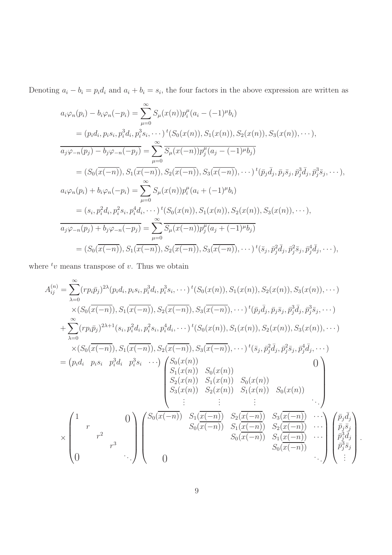Denoting  $a_i - b_i = p_i d_i$  and  $a_i + b_i = s_i$ , the four factors in the above expression are written as

$$
a_{i}\varphi_{n}(p_{i}) - b_{i}\varphi_{n}(-p_{i}) = \sum_{\mu=0}^{\infty} S_{\mu}(x(n))p_{i}^{\mu}(a_{i} - (-1)^{\mu}b_{i})
$$
  
\n
$$
= (p_{i}d_{i}, p_{i}s_{i}, p_{i}^{3}d_{i}, p_{i}^{3}s_{i}, \cdots) {}^{t}(S_{0}(x(n)), S_{1}(x(n)), S_{2}(x(n)), S_{3}(x(n)), \cdots),
$$
  
\n
$$
\overline{a_{j}\varphi_{-n}(p_{j}) - b_{j}\varphi_{-n}(-p_{j})} = \sum_{\mu=0}^{\infty} \overline{S_{\mu}(x(-n))p_{j}^{\mu}(a_{j} - (-1)^{\mu}b_{j})}
$$
  
\n
$$
= (S_{0}(\overline{x(-n)}), S_{1}(\overline{x(-n)}), S_{2}(\overline{x(-n)}), S_{3}(\overline{x(-n)}), \cdots) {}^{t}(\overline{p}_{j}\overline{d}_{j}, \overline{p}_{j}\overline{s}_{j}, \overline{p}_{j}^{3}\overline{d}_{j}, \overline{p}_{j}^{3}\overline{s}_{j}, \cdots),
$$
  
\n
$$
a_{i}\varphi_{n}(p_{i}) + b_{i}\varphi_{n}(-p_{i}) = \sum_{\mu=0}^{\infty} S_{\mu}(x(n))p_{i}^{\mu}(a_{i} + (-1)^{\mu}b_{i})
$$
  
\n
$$
= (s_{i}, p_{i}^{2}d_{i}, p_{i}^{2}s_{i}, p_{i}^{4}d_{i}, \cdots) {}^{t}(S_{0}(x(n)), S_{1}(x(n)), S_{2}(x(n)), S_{3}(x(n)), \cdots),
$$
  
\n
$$
\overline{a_{j}\varphi_{-n}(p_{j}) + b_{j}\varphi_{-n}(-p_{j})} = \sum_{\mu=0}^{\infty} \overline{S_{\mu}(x(-n))p_{j}^{\mu}(a_{j} + (-1)^{\mu}b_{j})}
$$
  
\n
$$
= (S_{0}(\overline{x(-n)}), S_{1}(\overline{x(-n)}), S_{2}(\overline{x(-n)}), S_{3}(\overline{x(-n)}), \cdots) {}^{t}(\overline{s}_{j}, \overline{p}_{j}^{2}\overline{
$$

where  $t_v$  means transpose of v. Thus we obtain

A (n) ij = X∞ λ=0 (rpip¯<sup>j</sup> ) 2λ (pid<sup>i</sup> , pis<sup>i</sup> , p<sup>3</sup> i di , p<sup>3</sup> i si , · · ·) t (S0(x(n)), S1(x(n)), S2(x(n)), S3(x(n)), · · ·) ×(S0(x(−n)), S1(x(−n)), S2(x(−n)), S3(x(−n)), · · ·) t (¯p<sup>j</sup> ¯dj , p¯js¯<sup>j</sup> , p¯ 3 j ¯dj , p¯ 3 j s¯j , · · ·) + X∞ λ=0 (rpip¯<sup>j</sup> ) <sup>2</sup>λ+1(s<sup>i</sup> , p<sup>2</sup> i di , p<sup>2</sup> i si , p<sup>4</sup> i di , · · ·) t (S0(x(n)), S1(x(n)), S2(x(n)), S3(x(n)), · · ·) ×(S0(x(−n)), S1(x(−n)), S2(x(−n)), S3(x(−n)), · · ·) t (¯s<sup>j</sup> , p¯ 2 j ¯dj , p¯ 2 j s¯j , p¯ 4 j ¯dj , · · ·) = pid<sup>i</sup> pis<sup>i</sup> p 3 <sup>i</sup> d<sup>i</sup> p 3 i si · · · <sup>S</sup>0(x(n)) 0 S1(x(n)) S0(x(n)) S2(x(n)) S1(x(n)) S0(x(n)) S3(x(n)) S2(x(n)) S1(x(n)) S0(x(n)) . . . . . . . . . . . . × <sup>1</sup> 0 r r 2 r 3 0 . . . S0(x(−n)) S1(x(−n)) S2(x(−n)) S3(x(−n)) · · · S0(x(−n)) S1(x(−n)) S2(x(−n)) · · · S0(x(−n)) S1(x(−n)) · · · S0(x(−n)) 0 . . . p¯j ¯dj p¯js¯<sup>j</sup> p¯ 3 j ¯dj p¯ 3 j s¯j . . . 

.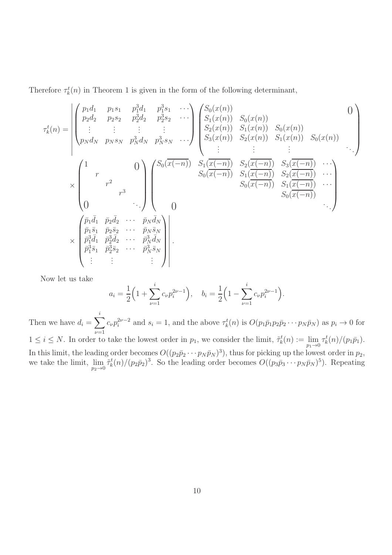Therefore  $\tau_k^t(n)$  in Theorem 1 is given in the form of the following determinant,

$$
\tau_{k}^{t}(n) = \begin{vmatrix}\np_{1}d_{1} & p_{1}s_{1} & p_{1}^{3}d_{1} & p_{1}^{3}s_{1} & \cdots \\
p_{2}d_{2} & p_{2}s_{2} & p_{2}^{3}d_{2} & p_{2}^{3}s_{2} & \cdots \\
\vdots & \vdots & \vdots & \vdots \\
p_{N}d_{N} & p_{N}s_{N} & p_{N}^{3}d_{N} & p_{N}^{3}s_{N} & \cdots\n\end{vmatrix}\n\begin{pmatrix}\nS_{0}(x(n)) & S_{0}(x(n)) & 0 \\
S_{1}(x(n)) & S_{1}(x(n)) & S_{0}(x(n)) \\
S_{2}(x(n)) & S_{1}(x(n)) & S_{0}(x(n)) \\
\vdots & \vdots & \vdots \\
\vdots & \vdots & \vdots\n\end{pmatrix}
$$
\n
$$
\times \begin{pmatrix}\n1 & 0 \\
r & 0 \\
r^{2} & r^{3} \\
\vdots & \vdots & \vdots\n\end{pmatrix}\n\begin{pmatrix}\nS_{0}(x(n)) & S_{0}(x(n)) & S_{0}(x(n)) & 0 \\
S_{2}(x(n)) & S_{2}(x(n)) & S_{1}(x(n)) & S_{0}(x(n)) \\
\vdots & \vdots & \vdots \\
S_{0}(x(-n)) & S_{1}(x(-n)) & S_{2}(x(-n)) & \cdots \\
S_{0}(x(-n)) & S_{1}(x(-n)) & \cdots \\
S_{0}(x(-n)) & S_{1}(x(-n)) & \cdots \\
S_{0}(x(-n)) & \cdots\n\end{pmatrix}
$$
\n
$$
\times \begin{pmatrix}\n\bar{p}_{1}\bar{d}_{1} & \bar{p}_{2}\bar{d}_{2} & \cdots & \bar{p}_{N}\bar{d}_{N} \\
\bar{p}_{1}^{3}\bar{d}_{1} & \bar{p}_{2}^{3}\bar{d}_{2} & \cdots & \bar{p}_{N}^{3}\bar{d}_{N} \\
\bar{p}_{1}^{3}\bar{d}_{1} & \bar{p}_{2}^{3}\bar{d}_{2} & \cdots & \bar{p}_{N}^{3}\bar{d}_{N} \\
\vdots & \vdots & \vdots & \vdots\n\end{pmatrix}
$$
\n(1. (a) (b) (b) (c) (d) (e) (e) (f) (f) (g) (g) (g) (g) (h) (h) (h) (h) (h) (

Now let us take

$$
a_i = \frac{1}{2} \left( 1 + \sum_{\nu=1}^i c_\nu p_i^{2\nu - 1} \right), \quad b_i = \frac{1}{2} \left( 1 - \sum_{\nu=1}^i c_\nu p_i^{2\nu - 1} \right).
$$

Then we have  $d_i = \sum$ i  $\nu = 1$  $c_{\nu}p_i^{2\nu-2}$  and  $s_i = 1$ , and the above  $\tau_k^t(n)$  is  $O(p_1\bar{p}_1p_2\bar{p}_2\cdots p_N\bar{p}_N)$  as  $p_i \to 0$  for  $1 \leq i \leq N$ . In order to take the lowest order in  $p_1$ , we consider the limit,  $\tilde{\tau}_k^t(n) := \lim_{p_1 \to 0} \tau_k^t(n) / (p_1 \bar{p}_1)$ . In this limit, the leading order becomes  $O((p_2\bar{p}_2\cdots p_N\bar{p}_N)^3)$ , thus for picking up the lowest order in  $p_2$ , we take the limit,  $\lim_{p_2 \to 0} \tilde{\tau}_k^t(n) / (p_2 \bar{p}_2)^3$ . So the leading order becomes  $O((p_3 \bar{p}_3 \cdots p_N \bar{p}_N)^5)$ . Repeating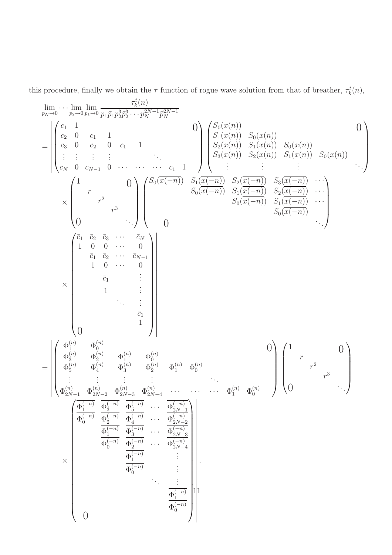this procedure, finally we obtain the  $\tau$  function of rogue wave solution from that of breather,  $\tau_k^t(n)$ ,

τ t k (n) lim · · · lim lim 2N−1 2N−1 3 3 pN→0 p2→0 p1→0 p1p¯1p 2p¯ · · · p <sup>N</sup> p¯ 2 N <sup>c</sup><sup>1</sup> <sup>1</sup> 0 <sup>S</sup>0(x(n)) 0 c<sup>2</sup> 0 c<sup>1</sup> 1 S1(x(n)) S0(x(n)) c<sup>3</sup> 0 c<sup>2</sup> 0 c<sup>1</sup> 1 S2(x(n)) S1(x(n)) S0(x(n)) = . . . . . S3(x(n)) S2(x(n)) S1(x(n)) S0(x(n)) . . . . . . . . . . . . . . . . . . . c<sup>N</sup> 0 cN−<sup>1</sup> 0 · · · · · · · · · c<sup>1</sup> 1 . . . S0(x(−n)) S1(x(−n)) S2(x(−n)) S3(x(−n)) · · · <sup>1</sup> 0 r S0(x(−n)) S1(x(−n)) S2(x(−n)) · · · 2 r S0(x(−n)) S1(x(−n)) · · · × 3 r S0(x(−n)) . 0 . . 0 . . . c¯<sup>1</sup> c¯<sup>2</sup> c¯<sup>3</sup> · · · c¯<sup>N</sup> 1 0 0 · · · 0 c¯<sup>1</sup> c¯<sup>2</sup> · · · c¯N−<sup>1</sup> 1 0 · · · 0 . . c¯1 . × . . 1 . . . . . . . c¯1 1 0 (n) (n) Φ <sup>1</sup> Φ <sup>0</sup> 0 <sup>1</sup> 0 (n) (n) (n) (n) Φ <sup>3</sup> Φ <sup>2</sup> Φ <sup>1</sup> Φ r 0 (n) (n) (n) (n) (n) (n) 2 r = Φ <sup>5</sup> Φ <sup>4</sup> Φ <sup>3</sup> Φ <sup>2</sup> Φ <sup>1</sup> Φ 0 3 . . . . . r . . . . . . . . . . . 0 . . (n) (n) (n) (n) (n) (n) Φ <sup>2</sup>N−<sup>1</sup> Φ <sup>2</sup>N−<sup>2</sup> Φ <sup>2</sup>N−<sup>3</sup> Φ · · · · · · · · · Φ <sup>1</sup> Φ 2N−4 0 (−n) (−n) (−n) (−n) Φ <sup>1</sup> Φ <sup>3</sup> Φ · · · Φ 5 2N−1 (−n) (−n) (−n) (−n) Φ <sup>0</sup> Φ <sup>2</sup> Φ · · · Φ 4 2N−2 (−n) (−n) (−n) Φ <sup>1</sup> Φ · · · Φ 2N−3 3 (−n) (−n) (−n) Φ <sup>0</sup> Φ · · · Φ 2 2N−4 . . (−n) Φ . × 1 . . (−n) . Φ . 0 . . . . . . 11(−n) Φ 1 (−n) Φ 0 0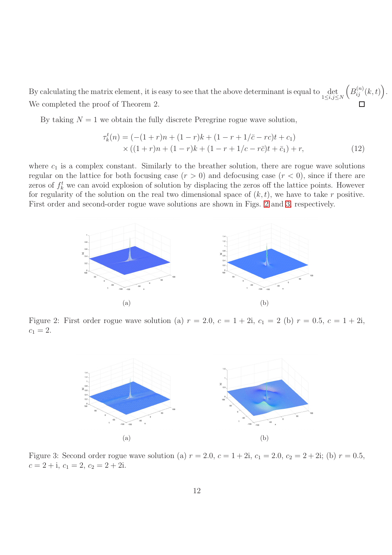By calculating the matrix element, it is easy to see that the above determinant is equal to  $\det_{1 \leq i,j \leq N}$  $\left(B_{ij}^{(n)}(k,t)\right).$ We completed the proof of Theorem 2.

By taking  $N = 1$  we obtain the fully discrete Peregrine rogue wave solution,

<span id="page-12-2"></span>
$$
\tau_k^t(n) = (-(1+r)n + (1-r)k + (1-r+1/\bar{c} - rc)t + c_1)
$$
  
× ((1+r)n + (1-r)k + (1-r+1/c - r\bar{c})t + \bar{c}\_1) + r, (12)

where  $c_1$  is a complex constant. Similarly to the breather solution, there are rogue wave solutions regular on the lattice for both focusing case  $(r > 0)$  and defocusing case  $(r < 0)$ , since if there are zeros of  $f_k^t$  we can avoid explosion of solution by displacing the zeros off the lattice points. However for regularity of the solution on the real two dimensional space of  $(k, t)$ , we have to take r positive. First order and second-order rogue wave solutions are shown in Figs. [2](#page-12-0) and [3,](#page-12-1) respectively.



Figure 2: First order rogue wave solution (a)  $r = 2.0, c = 1 + 2i, c_1 = 2$  (b)  $r = 0.5, c = 1 + 2i$ ,  $c_1 = 2.$ 

<span id="page-12-0"></span>

<span id="page-12-1"></span>Figure 3: Second order rogue wave solution (a)  $r = 2.0, c = 1 + 2i, c_1 = 2.0, c_2 = 2 + 2i$ ; (b)  $r = 0.5$ ,  $c = 2 + i$ ,  $c_1 = 2$ ,  $c_2 = 2 + 2i$ .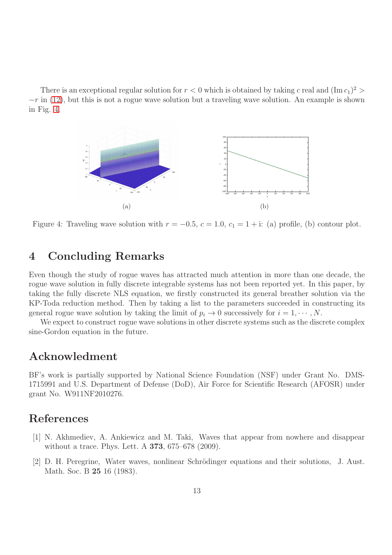There is an exceptional regular solution for  $r < 0$  which is obtained by taking c real and  $(\text{Im }c_1)^2$  $-r$  in [\(12\)](#page-12-2), but this is not a rogue wave solution but a traveling wave solution. An example is shown in Fig. [4.](#page-13-2)



<span id="page-13-2"></span>Figure 4: Traveling wave solution with  $r = -0.5$ ,  $c = 1.0$ ,  $c_1 = 1 + i$ : (a) profile, (b) contour plot.

### 4 Concluding Remarks

Even though the study of rogue waves has attracted much attention in more than one decade, the rogue wave solution in fully discrete integrable systems has not been reported yet. In this paper, by taking the fully discrete NLS equation, we firstly constructed its general breather solution via the KP-Toda reduction method. Then by taking a list to the parameters succeeded in constructing its general rogue wave solution by taking the limit of  $p_i \to 0$  successively for  $i = 1, \dots, N$ .

We expect to construct rogue wave solutions in other discrete systems such as the discrete complex sine-Gordon equation in the future.

### Acknowledment

BF's work is partially supported by National Science Foundation (NSF) under Grant No. DMS-1715991 and U.S. Department of Defense (DoD), Air Force for Scientific Research (AFOSR) under grant No. W911NF2010276.

# <span id="page-13-0"></span>References

- [1] N. Akhmediev, A. Ankiewicz and M. Taki, Waves that appear from nowhere and disappear without a trace. Phys. Lett. A 373, 675–678 (2009).
- <span id="page-13-1"></span>[2] D. H. Peregrine, Water waves, nonlinear Schrödinger equations and their solutions, J. Aust. Math. Soc. B 25 16 (1983).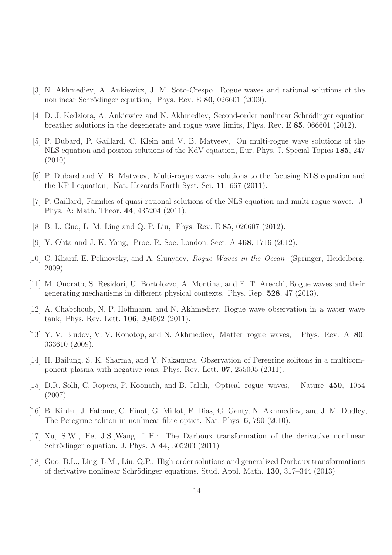- <span id="page-14-1"></span><span id="page-14-0"></span>[3] N. Akhmediev, A. Ankiewicz, J. M. Soto-Crespo. Rogue waves and rational solutions of the nonlinear Schrödinger equation, Phys. Rev. E  $80$ , 026601 (2009).
- <span id="page-14-2"></span>[4] D. J. Kedziora, A. Ankiewicz and N. Akhmediev, Second-order nonlinear Schrödinger equation breather solutions in the degenerate and rogue wave limits, Phys. Rev. E 85, 066601 (2012).
- [5] P. Dubard, P. Gaillard, C. Klein and V. B. Matveev, On multi-rogue wave solutions of the NLS equation and positon solutions of the KdV equation, Eur. Phys. J. Special Topics 185, 247 (2010).
- <span id="page-14-4"></span><span id="page-14-3"></span>[6] P. Dubard and V. B. Matveev, Multi-rogue waves solutions to the focusing NLS equation and the KP-I equation, Nat. Hazards Earth Syst. Sci. 11, 667 (2011).
- <span id="page-14-5"></span>[7] P. Gaillard, Families of quasi-rational solutions of the NLS equation and multi-rogue waves. J. Phys. A: Math. Theor. 44, 435204 (2011).
- <span id="page-14-6"></span>[8] B. L. Guo, L. M. Ling and Q. P. Liu, Phys. Rev. E 85, 026607 (2012).
- <span id="page-14-7"></span>[9] Y. Ohta and J. K. Yang, Proc. R. Soc. London. Sect. A 468, 1716 (2012).
- [10] C. Kharif, E. Pelinovsky, and A. Slunyaev, Rogue Waves in the Ocean (Springer, Heidelberg, 2009).
- <span id="page-14-8"></span>[11] M. Onorato, S. Residori, U. Bortolozzo, A. Montina, and F. T. Arecchi, Rogue waves and their generating mechanisms in different physical contexts, Phys. Rep. 528, 47 (2013).
- <span id="page-14-10"></span><span id="page-14-9"></span>[12] A. Chabchoub, N. P. Hoffmann, and N. Akhmediev, Rogue wave observation in a water wave tank, Phys. Rev. Lett. 106, 204502 (2011).
- [13] Y. V. Bludov, V. V. Konotop, and N. Akhmediev, Matter rogue waves, Phys. Rev. A 80, 033610 (2009).
- <span id="page-14-11"></span>[14] H. Bailung, S. K. Sharma, and Y. Nakamura, Observation of Peregrine solitons in a multicomponent plasma with negative ions, Phys. Rev. Lett. 07, 255005 (2011).
- <span id="page-14-13"></span><span id="page-14-12"></span>[15] D.R. Solli, C. Ropers, P. Koonath, and B. Jalali, Optical rogue waves, Nature 450, 1054 (2007).
- [16] B. Kibler, J. Fatome, C. Finot, G. Millot, F. Dias, G. Genty, N. Akhmediev, and J. M. Dudley, The Peregrine soliton in nonlinear fibre optics, Nat. Phys. 6, 790 (2010).
- <span id="page-14-14"></span>[17] Xu, S.W., He, J.S.,Wang, L.H.: The Darboux transformation of the derivative nonlinear Schrödinger equation. J. Phys. A 44, 305203 (2011)
- <span id="page-14-15"></span>[18] Guo, B.L., Ling, L.M., Liu, Q.P.: High-order solutions and generalized Darboux transformations of derivative nonlinear Schrödinger equations. Stud. Appl. Math. 130, 317–344 (2013)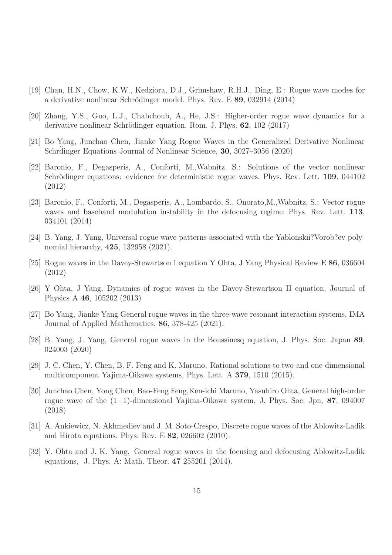- <span id="page-15-1"></span><span id="page-15-0"></span>[19] Chan, H.N., Chow, K.W., Kedziora, D.J., Grimshaw, R.H.J., Ding, E.: Rogue wave modes for a derivative nonlinear Schrödinger model. Phys. Rev. E 89, 032914 (2014)
- <span id="page-15-2"></span>[20] Zhang, Y.S., Guo, L.J., Chabchoub, A., He, J.S.: Higher-order rogue wave dynamics for a derivative nonlinear Schrödinger equation. Rom. J. Phys. 62, 102 (2017)
- <span id="page-15-3"></span>[21] Bo Yang, Junchao Chen, Jianke Yang Rogue Waves in the Generalized Derivative Nonlinear Schrdinger Equations Journal of Nonlinear Science, 30, 3027-3056 (2020)
- [22] Baronio, F., Degasperis, A., Conforti, M.,Wabnitz, S.: Solutions of the vector nonlinear Schrödinger equations: evidence for deterministic rogue waves. Phys. Rev. Lett. 109, 044102 (2012)
- <span id="page-15-4"></span>[23] Baronio, F., Conforti, M., Degasperis, A., Lombardo, S., Onorato,M.,Wabnitz, S.: Vector rogue waves and baseband modulation instability in the defocusing regime. Phys. Rev. Lett. 113, 034101 (2014)
- <span id="page-15-6"></span><span id="page-15-5"></span>[24] B. Yang, J. Yang, Universal rogue wave patterns associated with the Yablonskii?Vorob?ev polynomial hierarchy, 425, 132958 (2021).
- [25] Rogue waves in the Davey-Stewartson I equation Y Ohta, J Yang Physical Review E 86, 036604 (2012)
- <span id="page-15-8"></span><span id="page-15-7"></span>[26] Y Ohta, J Yang, Dynamics of rogue waves in the Davey-Stewartson II equation, Journal of Physics A 46, 105202 (2013)
- <span id="page-15-9"></span>[27] Bo Yang, Jianke Yang General rogue waves in the three-wave resonant interaction systems, IMA Journal of Applied Mathematics, 86, 378-425 (2021).
- <span id="page-15-10"></span>[28] B. Yang, J. Yang, General rogue waves in the Boussinesq equation, J. Phys. Soc. Japan 89, 024003 (2020)
- [29] J. C. Chen, Y. Chen, B. F. Feng and K. Maruno, Rational solutions to two-and one-dimensional multicomponent Yajima-Oikawa systems, Phys. Lett. A 379, 1510 (2015).
- <span id="page-15-11"></span>[30] Junchao Chen, Yong Chen, Bao-Feng Feng,Ken-ichi Maruno, Yasuhiro Ohta, General high-order rogue wave of the  $(1+1)$ -dimensional Yajima-Oikawa system, J. Phys. Soc. Jpn, 87, 094007 (2018)
- <span id="page-15-12"></span>[31] A. Ankiewicz, N. Akhmediev and J. M. Soto-Crespo, Discrete rogue waves of the Ablowitz-Ladik and Hirota equations. Phys. Rev. E 82, 026602 (2010).
- <span id="page-15-13"></span>[32] Y. Ohta and J. K. Yang, General rogue waves in the focusing and defocusing Ablowitz-Ladik equations, J. Phys. A: Math. Theor. 47 255201 (2014).